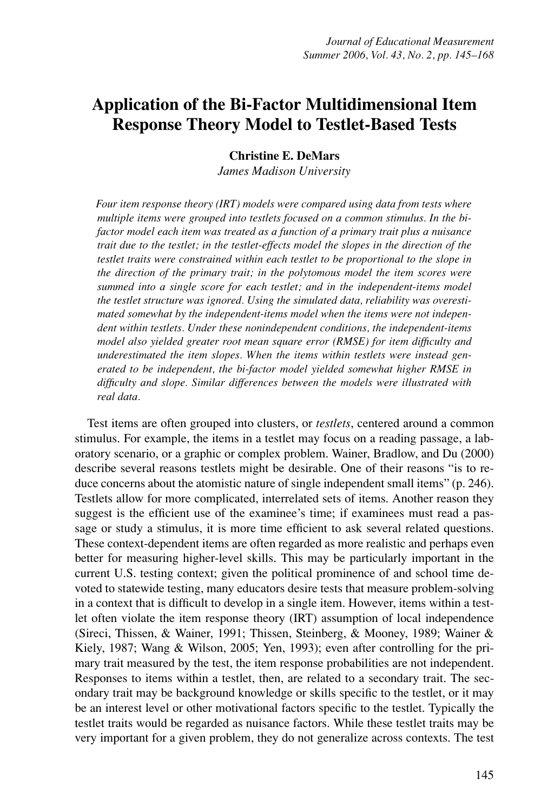# **Application of the Bi-Factor Multidimensional Item Response Theory Model to Testlet-Based Tests**

# **Christine E. DeMars**

*James Madison University*

*Four item response theory (IRT) models were compared using data from tests where multiple items were grouped into testlets focused on a common stimulus. In the bifactor model each item was treated as a function of a primary trait plus a nuisance trait due to the testlet; in the testlet-effects model the slopes in the direction of the testlet traits were constrained within each testlet to be proportional to the slope in the direction of the primary trait; in the polytomous model the item scores were summed into a single score for each testlet; and in the independent-items model the testlet structure was ignored. Using the simulated data, reliability was overestimated somewhat by the independent-items model when the items were not independent within testlets. Under these nonindependent conditions, the independent-items model also yielded greater root mean square error (RMSE) for item difficulty and underestimated the item slopes. When the items within testlets were instead generated to be independent, the bi-factor model yielded somewhat higher RMSE in difficulty and slope. Similar differences between the models were illustrated with real data.*

Test items are often grouped into clusters, or *testlets*, centered around a common stimulus. For example, the items in a testlet may focus on a reading passage, a laboratory scenario, or a graphic or complex problem. Wainer, Bradlow, and Du (2000) describe several reasons testlets might be desirable. One of their reasons "is to reduce concerns about the atomistic nature of single independent small items" (p. 246). Testlets allow for more complicated, interrelated sets of items. Another reason they suggest is the efficient use of the examinee's time; if examinees must read a passage or study a stimulus, it is more time efficient to ask several related questions. These context-dependent items are often regarded as more realistic and perhaps even better for measuring higher-level skills. This may be particularly important in the current U.S. testing context; given the political prominence of and school time devoted to statewide testing, many educators desire tests that measure problem-solving in a context that is difficult to develop in a single item. However, items within a testlet often violate the item response theory (IRT) assumption of local independence (Sireci, Thissen, & Wainer, 1991; Thissen, Steinberg, & Mooney, 1989; Wainer & Kiely, 1987; Wang & Wilson, 2005; Yen, 1993); even after controlling for the primary trait measured by the test, the item response probabilities are not independent. Responses to items within a testlet, then, are related to a secondary trait. The secondary trait may be background knowledge or skills specific to the testlet, or it may be an interest level or other motivational factors specific to the testlet. Typically the testlet traits would be regarded as nuisance factors. While these testlet traits may be very important for a given problem, they do not generalize across contexts. The test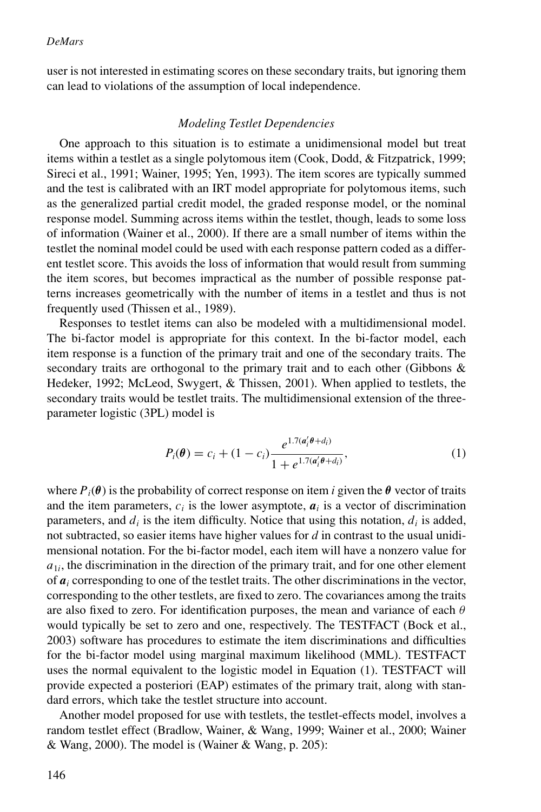user is not interested in estimating scores on these secondary traits, but ignoring them can lead to violations of the assumption of local independence.

## *Modeling Testlet Dependencies*

One approach to this situation is to estimate a unidimensional model but treat items within a testlet as a single polytomous item (Cook, Dodd, & Fitzpatrick, 1999; Sireci et al., 1991; Wainer, 1995; Yen, 1993). The item scores are typically summed and the test is calibrated with an IRT model appropriate for polytomous items, such as the generalized partial credit model, the graded response model, or the nominal response model. Summing across items within the testlet, though, leads to some loss of information (Wainer et al., 2000). If there are a small number of items within the testlet the nominal model could be used with each response pattern coded as a different testlet score. This avoids the loss of information that would result from summing the item scores, but becomes impractical as the number of possible response patterns increases geometrically with the number of items in a testlet and thus is not frequently used (Thissen et al., 1989).

Responses to testlet items can also be modeled with a multidimensional model. The bi-factor model is appropriate for this context. In the bi-factor model, each item response is a function of the primary trait and one of the secondary traits. The secondary traits are orthogonal to the primary trait and to each other (Gibbons & Hedeker, 1992; McLeod, Swygert, & Thissen, 2001). When applied to testlets, the secondary traits would be testlet traits. The multidimensional extension of the threeparameter logistic (3PL) model is

$$
P_i(\theta) = c_i + (1 - c_i) \frac{e^{1.7(a'_i\theta + d_i)}}{1 + e^{1.7(a'_i\theta + d_i)}},
$$
\n(1)

where  $P_i(\theta)$  is the probability of correct response on item *i* given the  $\theta$  vector of traits and the item parameters,  $c_i$  is the lower asymptote,  $a_i$  is a vector of discrimination parameters, and  $d_i$  is the item difficulty. Notice that using this notation,  $d_i$  is added, not subtracted, so easier items have higher values for *d* in contrast to the usual unidimensional notation. For the bi-factor model, each item will have a nonzero value for  $a_{1i}$ , the discrimination in the direction of the primary trait, and for one other element of  $a_i$  corresponding to one of the testlet traits. The other discriminations in the vector, corresponding to the other testlets, are fixed to zero. The covariances among the traits are also fixed to zero. For identification purposes, the mean and variance of each  $\theta$ would typically be set to zero and one, respectively. The TESTFACT (Bock et al., 2003) software has procedures to estimate the item discriminations and difficulties for the bi-factor model using marginal maximum likelihood (MML). TESTFACT uses the normal equivalent to the logistic model in Equation (1). TESTFACT will provide expected a posteriori (EAP) estimates of the primary trait, along with standard errors, which take the testlet structure into account.

Another model proposed for use with testlets, the testlet-effects model, involves a random testlet effect (Bradlow, Wainer, & Wang, 1999; Wainer et al., 2000; Wainer & Wang, 2000). The model is (Wainer & Wang, p. 205):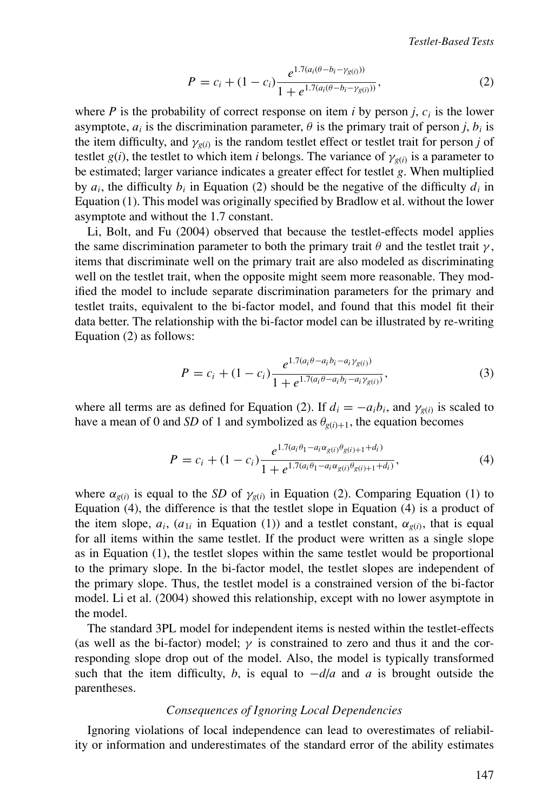$$
P = c_i + (1 - c_i) \frac{e^{1.7(a_i(\theta - b_i - \gamma_{g(i)}))}}{1 + e^{1.7(a_i(\theta - b_i - \gamma_{g(i)}))}},
$$
\n(2)

where  $P$  is the probability of correct response on item  $i$  by person  $j$ ,  $c_i$  is the lower asymptote,  $a_i$  is the discrimination parameter,  $\theta$  is the primary trait of person *j*,  $b_i$  is the item difficulty, and  $\gamma_{g(i)}$  is the random testlet effect or testlet trait for person *j* of testlet *g*(*i*), the testlet to which item *i* belongs. The variance of  $\gamma_{g(i)}$  is a parameter to be estimated; larger variance indicates a greater effect for testlet *g*. When multiplied by  $a_i$ , the difficulty  $b_i$  in Equation (2) should be the negative of the difficulty  $d_i$  in Equation (1). This model was originally specified by Bradlow et al. without the lower asymptote and without the 1.7 constant.

Li, Bolt, and Fu (2004) observed that because the testlet-effects model applies the same discrimination parameter to both the primary trait  $\theta$  and the testlet trait  $\gamma$ , items that discriminate well on the primary trait are also modeled as discriminating well on the testlet trait, when the opposite might seem more reasonable. They modified the model to include separate discrimination parameters for the primary and testlet traits, equivalent to the bi-factor model, and found that this model fit their data better. The relationship with the bi-factor model can be illustrated by re-writing Equation (2) as follows:

$$
P = c_i + (1 - c_i) \frac{e^{1.7(a_i \theta - a_i b_i - a_i \gamma_{g(i)})}}{1 + e^{1.7(a_i \theta - a_i b_i - a_i \gamma_{g(i)})}},
$$
\n(3)

where all terms are as defined for Equation (2). If  $d_i = -a_i b_i$ , and  $\gamma_{\varrho(i)}$  is scaled to have a mean of 0 and *SD* of 1 and symbolized as  $\theta_{\varrho(i)+1}$ , the equation becomes

$$
P = c_i + (1 - c_i) \frac{e^{1.7(a_i \theta_1 - a_i \alpha_{g(i)} \theta_{g(i)+1} + d_i)}}{1 + e^{1.7(a_i \theta_1 - a_i \alpha_{g(i)} \theta_{g(i)+1} + d_i)}},
$$
(4)

where  $\alpha_{g(i)}$  is equal to the *SD* of  $\gamma_{g(i)}$  in Equation (2). Comparing Equation (1) to Equation (4), the difference is that the testlet slope in Equation (4) is a product of the item slope,  $a_i$ ,  $(a_{1i}$  in Equation (1)) and a testlet constant,  $\alpha_{g(i)}$ , that is equal for all items within the same testlet. If the product were written as a single slope as in Equation (1), the testlet slopes within the same testlet would be proportional to the primary slope. In the bi-factor model, the testlet slopes are independent of the primary slope. Thus, the testlet model is a constrained version of the bi-factor model. Li et al. (2004) showed this relationship, except with no lower asymptote in the model.

The standard 3PL model for independent items is nested within the testlet-effects (as well as the bi-factor) model;  $\gamma$  is constrained to zero and thus it and the corresponding slope drop out of the model. Also, the model is typically transformed such that the item difficulty, *b*, is equal to  $-d/a$  and *a* is brought outside the parentheses.

## *Consequences of Ignoring Local Dependencies*

Ignoring violations of local independence can lead to overestimates of reliability or information and underestimates of the standard error of the ability estimates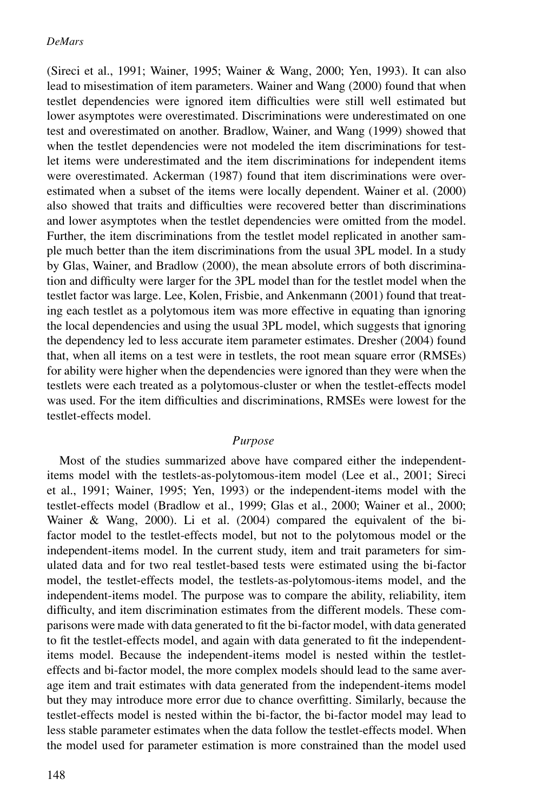(Sireci et al., 1991; Wainer, 1995; Wainer & Wang, 2000; Yen, 1993). It can also lead to misestimation of item parameters. Wainer and Wang (2000) found that when testlet dependencies were ignored item difficulties were still well estimated but lower asymptotes were overestimated. Discriminations were underestimated on one test and overestimated on another. Bradlow, Wainer, and Wang (1999) showed that when the testlet dependencies were not modeled the item discriminations for testlet items were underestimated and the item discriminations for independent items were overestimated. Ackerman (1987) found that item discriminations were overestimated when a subset of the items were locally dependent. Wainer et al. (2000) also showed that traits and difficulties were recovered better than discriminations and lower asymptotes when the testlet dependencies were omitted from the model. Further, the item discriminations from the testlet model replicated in another sample much better than the item discriminations from the usual 3PL model. In a study by Glas, Wainer, and Bradlow (2000), the mean absolute errors of both discrimination and difficulty were larger for the 3PL model than for the testlet model when the testlet factor was large. Lee, Kolen, Frisbie, and Ankenmann (2001) found that treating each testlet as a polytomous item was more effective in equating than ignoring the local dependencies and using the usual 3PL model, which suggests that ignoring the dependency led to less accurate item parameter estimates. Dresher (2004) found that, when all items on a test were in testlets, the root mean square error (RMSEs) for ability were higher when the dependencies were ignored than they were when the testlets were each treated as a polytomous-cluster or when the testlet-effects model was used. For the item difficulties and discriminations, RMSEs were lowest for the testlet-effects model.

# *Purpose*

Most of the studies summarized above have compared either the independentitems model with the testlets-as-polytomous-item model (Lee et al., 2001; Sireci et al., 1991; Wainer, 1995; Yen, 1993) or the independent-items model with the testlet-effects model (Bradlow et al., 1999; Glas et al., 2000; Wainer et al., 2000; Wainer & Wang, 2000). Li et al. (2004) compared the equivalent of the bifactor model to the testlet-effects model, but not to the polytomous model or the independent-items model. In the current study, item and trait parameters for simulated data and for two real testlet-based tests were estimated using the bi-factor model, the testlet-effects model, the testlets-as-polytomous-items model, and the independent-items model. The purpose was to compare the ability, reliability, item difficulty, and item discrimination estimates from the different models. These comparisons were made with data generated to fit the bi-factor model, with data generated to fit the testlet-effects model, and again with data generated to fit the independentitems model. Because the independent-items model is nested within the testleteffects and bi-factor model, the more complex models should lead to the same average item and trait estimates with data generated from the independent-items model but they may introduce more error due to chance overfitting. Similarly, because the testlet-effects model is nested within the bi-factor, the bi-factor model may lead to less stable parameter estimates when the data follow the testlet-effects model. When the model used for parameter estimation is more constrained than the model used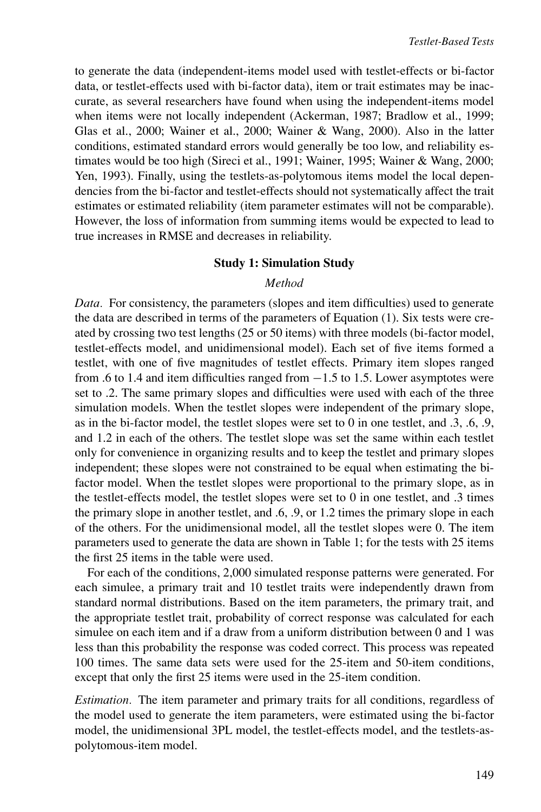to generate the data (independent-items model used with testlet-effects or bi-factor data, or testlet-effects used with bi-factor data), item or trait estimates may be inaccurate, as several researchers have found when using the independent-items model when items were not locally independent (Ackerman, 1987; Bradlow et al., 1999; Glas et al., 2000; Wainer et al., 2000; Wainer & Wang, 2000). Also in the latter conditions, estimated standard errors would generally be too low, and reliability estimates would be too high (Sireci et al., 1991; Wainer, 1995; Wainer & Wang, 2000; Yen, 1993). Finally, using the testlets-as-polytomous items model the local dependencies from the bi-factor and testlet-effects should not systematically affect the trait estimates or estimated reliability (item parameter estimates will not be comparable). However, the loss of information from summing items would be expected to lead to true increases in RMSE and decreases in reliability.

## **Study 1: Simulation Study**

## *Method*

*Data.* For consistency, the parameters (slopes and item difficulties) used to generate the data are described in terms of the parameters of Equation (1). Six tests were created by crossing two test lengths (25 or 50 items) with three models (bi-factor model, testlet-effects model, and unidimensional model). Each set of five items formed a testlet, with one of five magnitudes of testlet effects. Primary item slopes ranged from .6 to 1.4 and item difficulties ranged from −1.5 to 1.5. Lower asymptotes were set to .2. The same primary slopes and difficulties were used with each of the three simulation models. When the testlet slopes were independent of the primary slope, as in the bi-factor model, the testlet slopes were set to 0 in one testlet, and  $.3, .6, .9$ , and 1.2 in each of the others. The testlet slope was set the same within each testlet only for convenience in organizing results and to keep the testlet and primary slopes independent; these slopes were not constrained to be equal when estimating the bifactor model. When the testlet slopes were proportional to the primary slope, as in the testlet-effects model, the testlet slopes were set to 0 in one testlet, and .3 times the primary slope in another testlet, and .6, .9, or 1.2 times the primary slope in each of the others. For the unidimensional model, all the testlet slopes were 0. The item parameters used to generate the data are shown in Table 1; for the tests with 25 items the first 25 items in the table were used.

For each of the conditions, 2,000 simulated response patterns were generated. For each simulee, a primary trait and 10 testlet traits were independently drawn from standard normal distributions. Based on the item parameters, the primary trait, and the appropriate testlet trait, probability of correct response was calculated for each simulee on each item and if a draw from a uniform distribution between 0 and 1 was less than this probability the response was coded correct. This process was repeated 100 times. The same data sets were used for the 25-item and 50-item conditions, except that only the first 25 items were used in the 25-item condition.

*Estimation.* The item parameter and primary traits for all conditions, regardless of the model used to generate the item parameters, were estimated using the bi-factor model, the unidimensional 3PL model, the testlet-effects model, and the testlets-aspolytomous-item model.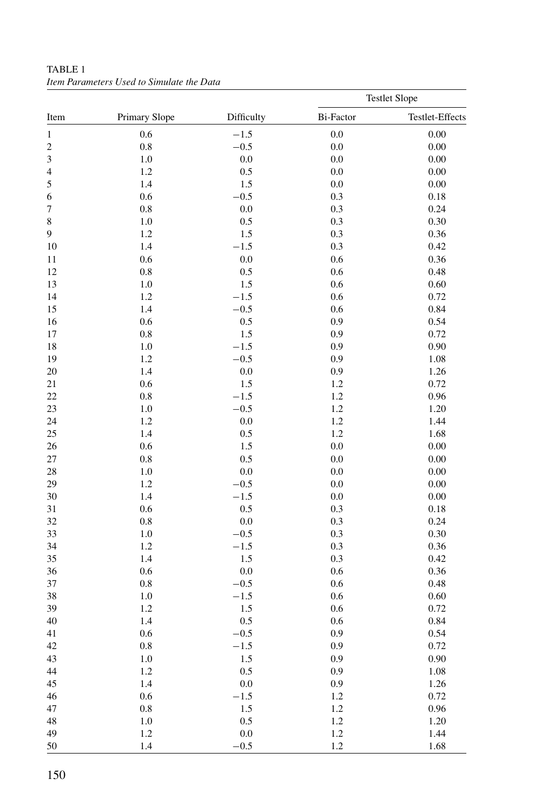|                         |               |            |           | <b>Testlet Slope</b> |
|-------------------------|---------------|------------|-----------|----------------------|
| Item                    | Primary Slope | Difficulty | Bi-Factor | Testlet-Effects      |
| $\,1\,$                 | 0.6           | $-1.5$     | 0.0       | 0.00                 |
| $\overline{\mathbf{c}}$ | 0.8           | $-0.5$     | 0.0       | 0.00                 |
| 3                       | 1.0           | $0.0\,$    | 0.0       | $0.00\,$             |
| $\overline{4}$          | 1.2           | 0.5        | 0.0       | 0.00                 |
| 5                       | 1.4           | 1.5        | 0.0       | 0.00                 |
| 6                       | 0.6           | $-0.5$     | 0.3       | 0.18                 |
| 7                       | 0.8           | 0.0        | 0.3       | 0.24                 |
| 8                       | 1.0           | 0.5        | 0.3       | 0.30                 |
| 9                       | 1.2           | 1.5        | 0.3       | 0.36                 |
| 10                      | 1.4           | $-1.5$     | 0.3       | 0.42                 |
| 11                      | 0.6           | 0.0        | 0.6       | 0.36                 |
| 12                      | 0.8           | 0.5        | 0.6       | 0.48                 |
| 13                      | 1.0           | 1.5        | 0.6       | 0.60                 |
| 14                      | 1.2           | $-1.5$     | 0.6       | 0.72                 |
| 15                      | 1.4           | $-0.5$     | 0.6       | 0.84                 |
|                         | 0.6           |            | 0.9       | 0.54                 |
| 16                      |               | 0.5        | 0.9       |                      |
| 17                      | 0.8           | 1.5        |           | 0.72                 |
| 18                      | 1.0           | $-1.5$     | 0.9       | 0.90                 |
| 19                      | 1.2           | $-0.5$     | 0.9       | 1.08                 |
| 20                      | 1.4           | $0.0\,$    | 0.9       | 1.26                 |
| 21                      | 0.6           | 1.5        | 1.2       | 0.72                 |
| 22                      | 0.8           | $-1.5$     | 1.2       | 0.96                 |
| 23                      | 1.0           | $-0.5$     | 1.2       | 1.20                 |
| 24                      | 1.2           | $0.0\,$    | 1.2       | 1.44                 |
| 25                      | 1.4           | 0.5        | 1.2       | 1.68                 |
| 26                      | 0.6           | 1.5        | $0.0\,$   | 0.00                 |
| 27                      | 0.8           | 0.5        | 0.0       | 0.00                 |
| 28                      | 1.0           | 0.0        | 0.0       | 0.00                 |
| 29                      | 1.2           | $-0.5$     | 0.0       | 0.00                 |
| 30                      | 1.4           | $-1.5$     | 0.0       | 0.00                 |
| 31                      | 0.6           | 0.5        | 0.3       | 0.18                 |
| 32                      | 0.8           | 0.0        | 0.3       | 0.24                 |
| 33                      | 1.0           | $-0.5$     | 0.3       | 0.30                 |
| 34                      | 1.2           | $-1.5$     | 0.3       | 0.36                 |
| 35                      | 1.4           | 1.5        | 0.3       | 0.42                 |
| 36                      | 0.6           | 0.0        | 0.6       | 0.36                 |
| 37                      | 0.8           | $-0.5$     | 0.6       | 0.48                 |
| 38                      | 1.0           | $-1.5$     | 0.6       | 0.60                 |
| 39                      | 1.2           | 1.5        | 0.6       | 0.72                 |
| 40                      | 1.4           | 0.5        | 0.6       | 0.84                 |
| 41                      | 0.6           | $-0.5$     | 0.9       | 0.54                 |
| 42                      | 0.8           | $-1.5$     | 0.9       | 0.72                 |
| 43                      | 1.0           | 1.5        | 0.9       | 0.90                 |
| 44                      | 1.2           | 0.5        | 0.9       | $1.08\,$             |
| 45                      | 1.4           | $0.0\,$    | 0.9       | 1.26                 |
| 46                      | 0.6           | $-1.5$     | 1.2       | 0.72                 |
| 47                      | 0.8           | 1.5        | 1.2       | 0.96                 |
| 48                      | $1.0\,$       | 0.5        | 1.2       | 1.20                 |
| 49                      | 1.2           | $0.0\,$    | $1.2\,$   | 1.44                 |
| 50                      | 1.4           | $-0.5$     | 1.2       | 1.68                 |

TABLE 1 *Item Parameters Used to Simulate the Data*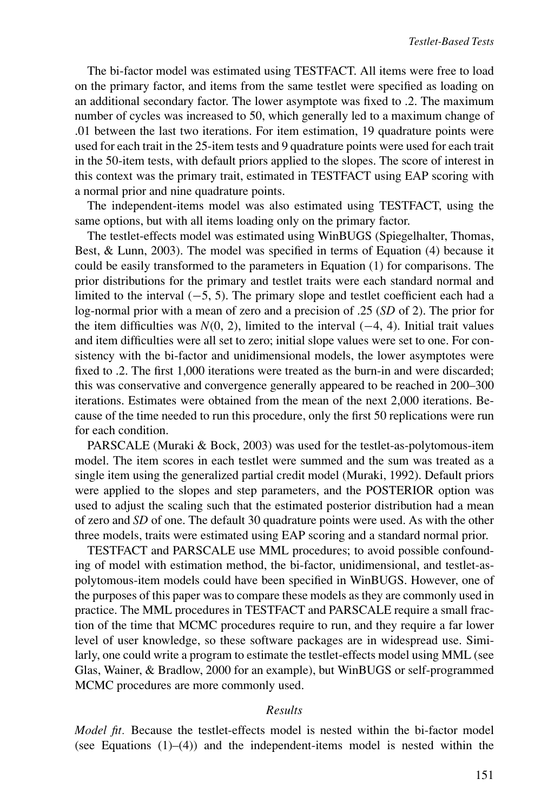The bi-factor model was estimated using TESTFACT. All items were free to load on the primary factor, and items from the same testlet were specified as loading on an additional secondary factor. The lower asymptote was fixed to .2. The maximum number of cycles was increased to 50, which generally led to a maximum change of .01 between the last two iterations. For item estimation, 19 quadrature points were used for each trait in the 25-item tests and 9 quadrature points were used for each trait in the 50-item tests, with default priors applied to the slopes. The score of interest in this context was the primary trait, estimated in TESTFACT using EAP scoring with a normal prior and nine quadrature points.

The independent-items model was also estimated using TESTFACT, using the same options, but with all items loading only on the primary factor.

The testlet-effects model was estimated using WinBUGS (Spiegelhalter, Thomas, Best, & Lunn, 2003). The model was specified in terms of Equation (4) because it could be easily transformed to the parameters in Equation (1) for comparisons. The prior distributions for the primary and testlet traits were each standard normal and limited to the interval (−5, 5). The primary slope and testlet coefficient each had a log-normal prior with a mean of zero and a precision of .25 (*SD* of 2). The prior for the item difficulties was  $N(0, 2)$ , limited to the interval  $(-4, 4)$ . Initial trait values and item difficulties were all set to zero; initial slope values were set to one. For consistency with the bi-factor and unidimensional models, the lower asymptotes were fixed to .2. The first 1,000 iterations were treated as the burn-in and were discarded; this was conservative and convergence generally appeared to be reached in 200–300 iterations. Estimates were obtained from the mean of the next 2,000 iterations. Because of the time needed to run this procedure, only the first 50 replications were run for each condition.

PARSCALE (Muraki & Bock, 2003) was used for the testlet-as-polytomous-item model. The item scores in each testlet were summed and the sum was treated as a single item using the generalized partial credit model (Muraki, 1992). Default priors were applied to the slopes and step parameters, and the POSTERIOR option was used to adjust the scaling such that the estimated posterior distribution had a mean of zero and *SD* of one. The default 30 quadrature points were used. As with the other three models, traits were estimated using EAP scoring and a standard normal prior.

TESTFACT and PARSCALE use MML procedures; to avoid possible confounding of model with estimation method, the bi-factor, unidimensional, and testlet-aspolytomous-item models could have been specified in WinBUGS. However, one of the purposes of this paper was to compare these models as they are commonly used in practice. The MML procedures in TESTFACT and PARSCALE require a small fraction of the time that MCMC procedures require to run, and they require a far lower level of user knowledge, so these software packages are in widespread use. Similarly, one could write a program to estimate the testlet-effects model using MML (see Glas, Wainer, & Bradlow, 2000 for an example), but WinBUGS or self-programmed MCMC procedures are more commonly used.

#### *Results*

*Model fit.* Because the testlet-effects model is nested within the bi-factor model (see Equations  $(1)$ – $(4)$ ) and the independent-items model is nested within the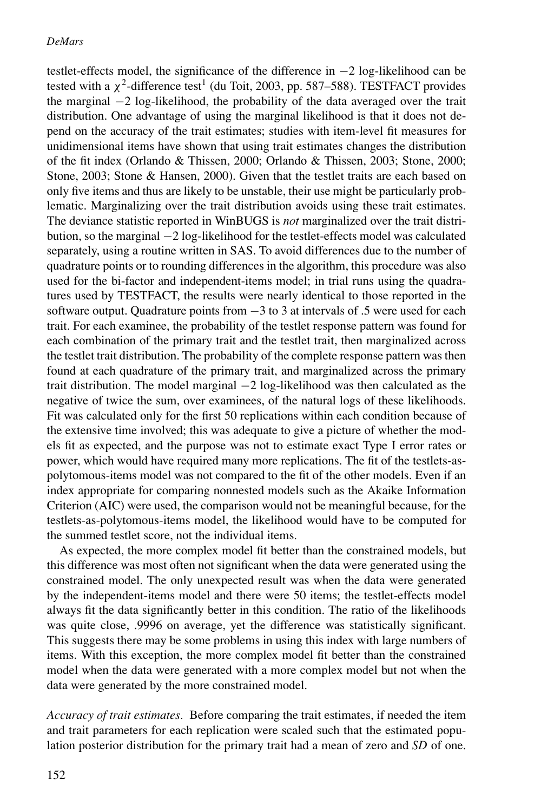testlet-effects model, the significance of the difference in −2 log-likelihood can be tested with a  $\chi^2$ -difference test<sup>1</sup> (du Toit, 2003, pp. 587–588). TESTFACT provides the marginal −2 log-likelihood, the probability of the data averaged over the trait distribution. One advantage of using the marginal likelihood is that it does not depend on the accuracy of the trait estimates; studies with item-level fit measures for unidimensional items have shown that using trait estimates changes the distribution of the fit index (Orlando & Thissen, 2000; Orlando & Thissen, 2003; Stone, 2000; Stone, 2003; Stone & Hansen, 2000). Given that the testlet traits are each based on only five items and thus are likely to be unstable, their use might be particularly problematic. Marginalizing over the trait distribution avoids using these trait estimates. The deviance statistic reported in WinBUGS is *not* marginalized over the trait distribution, so the marginal −2 log-likelihood for the testlet-effects model was calculated separately, using a routine written in SAS. To avoid differences due to the number of quadrature points or to rounding differences in the algorithm, this procedure was also used for the bi-factor and independent-items model; in trial runs using the quadratures used by TESTFACT, the results were nearly identical to those reported in the software output. Quadrature points from −3 to 3 at intervals of .5 were used for each trait. For each examinee, the probability of the testlet response pattern was found for each combination of the primary trait and the testlet trait, then marginalized across the testlet trait distribution. The probability of the complete response pattern was then found at each quadrature of the primary trait, and marginalized across the primary trait distribution. The model marginal −2 log-likelihood was then calculated as the negative of twice the sum, over examinees, of the natural logs of these likelihoods. Fit was calculated only for the first 50 replications within each condition because of the extensive time involved; this was adequate to give a picture of whether the models fit as expected, and the purpose was not to estimate exact Type I error rates or power, which would have required many more replications. The fit of the testlets-aspolytomous-items model was not compared to the fit of the other models. Even if an index appropriate for comparing nonnested models such as the Akaike Information Criterion (AIC) were used, the comparison would not be meaningful because, for the testlets-as-polytomous-items model, the likelihood would have to be computed for the summed testlet score, not the individual items.

As expected, the more complex model fit better than the constrained models, but this difference was most often not significant when the data were generated using the constrained model. The only unexpected result was when the data were generated by the independent-items model and there were 50 items; the testlet-effects model always fit the data significantly better in this condition. The ratio of the likelihoods was quite close, .9996 on average, yet the difference was statistically significant. This suggests there may be some problems in using this index with large numbers of items. With this exception, the more complex model fit better than the constrained model when the data were generated with a more complex model but not when the data were generated by the more constrained model.

*Accuracy of trait estimates.* Before comparing the trait estimates, if needed the item and trait parameters for each replication were scaled such that the estimated population posterior distribution for the primary trait had a mean of zero and *SD* of one.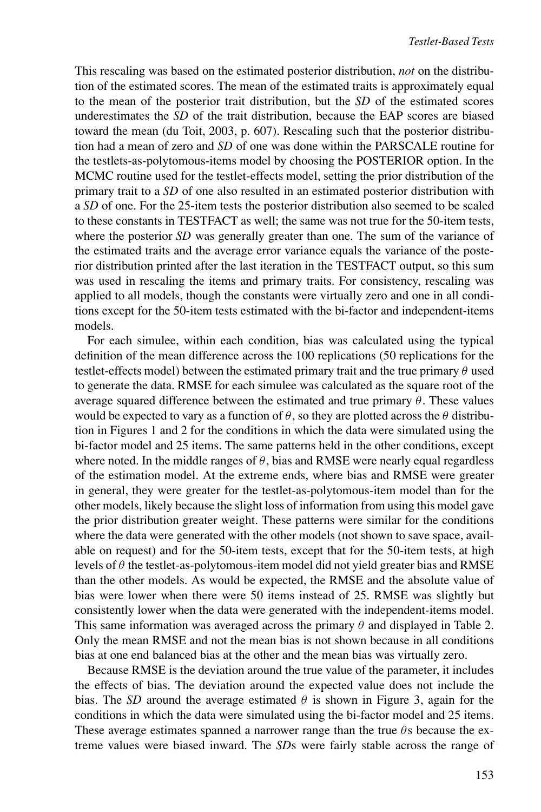This rescaling was based on the estimated posterior distribution, *not* on the distribution of the estimated scores. The mean of the estimated traits is approximately equal to the mean of the posterior trait distribution, but the *SD* of the estimated scores underestimates the *SD* of the trait distribution, because the EAP scores are biased toward the mean (du Toit, 2003, p. 607). Rescaling such that the posterior distribution had a mean of zero and *SD* of one was done within the PARSCALE routine for the testlets-as-polytomous-items model by choosing the POSTERIOR option. In the MCMC routine used for the testlet-effects model, setting the prior distribution of the primary trait to a *SD* of one also resulted in an estimated posterior distribution with a *SD* of one. For the 25-item tests the posterior distribution also seemed to be scaled to these constants in TESTFACT as well; the same was not true for the 50-item tests, where the posterior *SD* was generally greater than one. The sum of the variance of the estimated traits and the average error variance equals the variance of the posterior distribution printed after the last iteration in the TESTFACT output, so this sum was used in rescaling the items and primary traits. For consistency, rescaling was applied to all models, though the constants were virtually zero and one in all conditions except for the 50-item tests estimated with the bi-factor and independent-items models.

For each simulee, within each condition, bias was calculated using the typical definition of the mean difference across the 100 replications (50 replications for the testlet-effects model) between the estimated primary trait and the true primary  $\theta$  used to generate the data. RMSE for each simulee was calculated as the square root of the average squared difference between the estimated and true primary  $\theta$ . These values would be expected to vary as a function of  $\theta$ , so they are plotted across the  $\theta$  distribution in Figures 1 and 2 for the conditions in which the data were simulated using the bi-factor model and 25 items. The same patterns held in the other conditions, except where noted. In the middle ranges of  $\theta$ , bias and RMSE were nearly equal regardless of the estimation model. At the extreme ends, where bias and RMSE were greater in general, they were greater for the testlet-as-polytomous-item model than for the other models, likely because the slight loss of information from using this model gave the prior distribution greater weight. These patterns were similar for the conditions where the data were generated with the other models (not shown to save space, available on request) and for the 50-item tests, except that for the 50-item tests, at high levels of  $\theta$  the testlet-as-polytomous-item model did not yield greater bias and RMSE than the other models. As would be expected, the RMSE and the absolute value of bias were lower when there were 50 items instead of 25. RMSE was slightly but consistently lower when the data were generated with the independent-items model. This same information was averaged across the primary  $\theta$  and displayed in Table 2. Only the mean RMSE and not the mean bias is not shown because in all conditions bias at one end balanced bias at the other and the mean bias was virtually zero.

Because RMSE is the deviation around the true value of the parameter, it includes the effects of bias. The deviation around the expected value does not include the bias. The *SD* around the average estimated  $\theta$  is shown in Figure 3, again for the conditions in which the data were simulated using the bi-factor model and 25 items. These average estimates spanned a narrower range than the true  $\theta$ s because the extreme values were biased inward. The *SD*s were fairly stable across the range of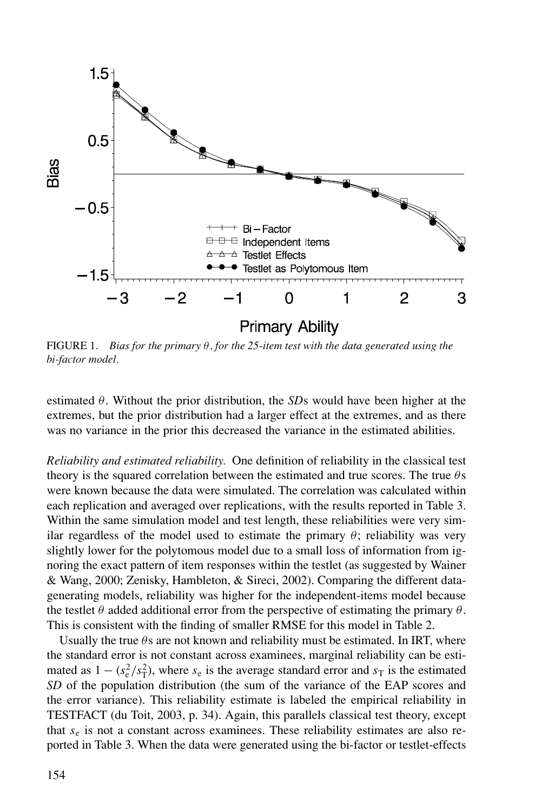

FIGURE 1. *Bias for the primary* θ*, for the 25-item test with the data generated using the bi-factor model.*

estimated θ. Without the prior distribution, the *SD*s would have been higher at the extremes, but the prior distribution had a larger effect at the extremes, and as there was no variance in the prior this decreased the variance in the estimated abilities.

*Reliability and estimated reliability.* One definition of reliability in the classical test theory is the squared correlation between the estimated and true scores. The true  $\theta$ s were known because the data were simulated. The correlation was calculated within each replication and averaged over replications, with the results reported in Table 3. Within the same simulation model and test length, these reliabilities were very similar regardless of the model used to estimate the primary  $\theta$ ; reliability was very slightly lower for the polytomous model due to a small loss of information from ignoring the exact pattern of item responses within the testlet (as suggested by Wainer & Wang, 2000; Zenisky, Hambleton, & Sireci, 2002). Comparing the different datagenerating models, reliability was higher for the independent-items model because the testlet  $\theta$  added additional error from the perspective of estimating the primary  $\theta$ . This is consistent with the finding of smaller RMSE for this model in Table 2.

Usually the true  $\theta$ s are not known and reliability must be estimated. In IRT, where the standard error is not constant across examinees, marginal reliability can be estimated as  $1 - (s_e^2/s_T^2)$ , where  $s_e$  is the average standard error and  $s_T$  is the estimated *SD* of the population distribution (the sum of the variance of the EAP scores and the error variance). This reliability estimate is labeled the empirical reliability in TESTFACT (du Toit, 2003, p. 34). Again, this parallels classical test theory, except that *s*<sup>e</sup> is not a constant across examinees. These reliability estimates are also reported in Table 3. When the data were generated using the bi-factor or testlet-effects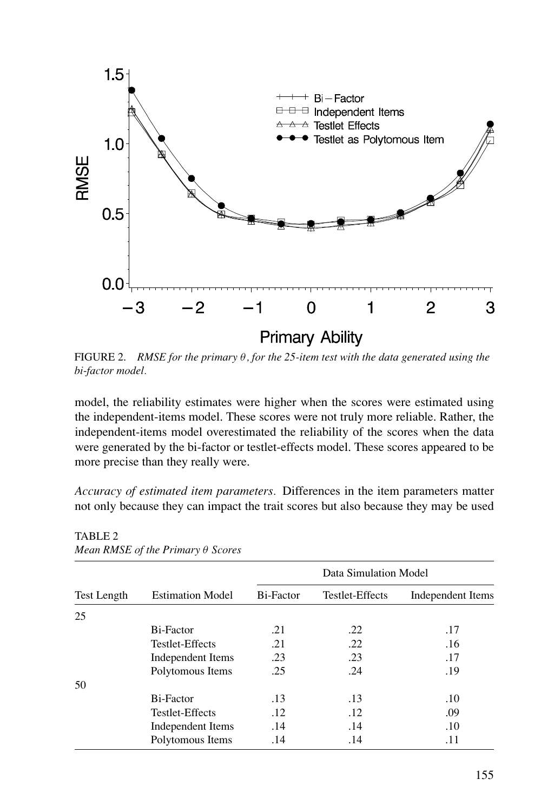

FIGURE 2. *RMSE for the primary* θ*, for the 25-item test with the data generated using the bi-factor model.*

model, the reliability estimates were higher when the scores were estimated using the independent-items model. These scores were not truly more reliable. Rather, the independent-items model overestimated the reliability of the scores when the data were generated by the bi-factor or testlet-effects model. These scores appeared to be more precise than they really were.

*Accuracy of estimated item parameters.* Differences in the item parameters matter not only because they can impact the trait scores but also because they may be used

|                    |                         |           | Data Simulation Model |                   |
|--------------------|-------------------------|-----------|-----------------------|-------------------|
| <b>Test Length</b> | <b>Estimation Model</b> | Bi-Factor | Testlet-Effects       | Independent Items |
| 25                 |                         |           |                       |                   |
|                    | Bi-Factor               | .21       | .22                   | .17               |
|                    | Testlet-Effects         | .21       | .22                   | .16               |
|                    | Independent Items       | .23       | .23                   | .17               |
|                    | Polytomous Items        | .25       | .24                   | .19               |
| 50                 |                         |           |                       |                   |
|                    | Bi-Factor               | .13       | .13                   | .10               |
|                    | Testlet-Effects         | .12       | .12                   | .09               |
|                    | Independent Items       | .14       | .14                   | .10               |
|                    | Polytomous Items        | .14       | .14                   | .11               |

TABLE 2 *Mean RMSE of the Primary* θ *Scores*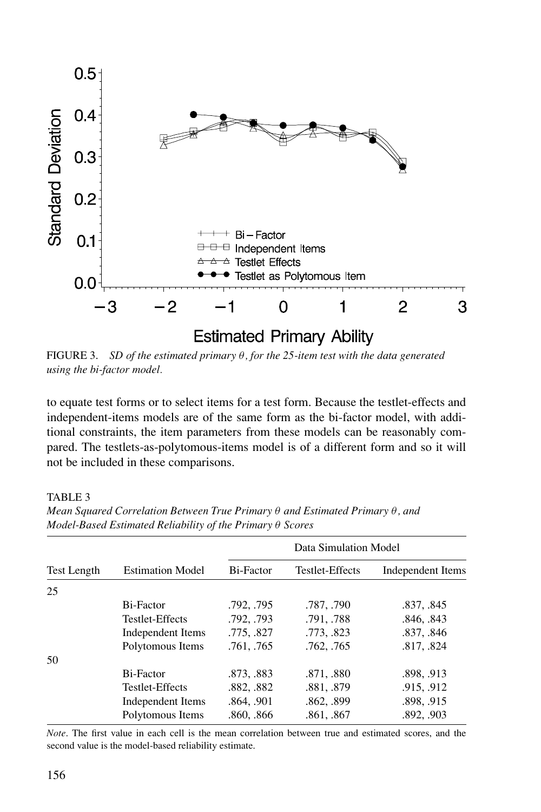

FIGURE 3. *SD of the estimated primary* θ*, for the 25-item test with the data generated using the bi-factor model.*

to equate test forms or to select items for a test form. Because the testlet-effects and independent-items models are of the same form as the bi-factor model, with additional constraints, the item parameters from these models can be reasonably compared. The testlets-as-polytomous-items model is of a different form and so it will not be included in these comparisons.

TABLE 3

|                    |                         |            | Data Simulation Model |                   |
|--------------------|-------------------------|------------|-----------------------|-------------------|
| <b>Test Length</b> | <b>Estimation Model</b> | Bi-Factor  | Testlet-Effects       | Independent Items |
| 25                 |                         |            |                       |                   |
|                    | Bi-Factor               | .792, .795 | .787, .790            | .837, .845        |
|                    | Testlet-Effects         | .792, .793 | .791, .788            | .846, .843        |
|                    | Independent Items       | .775, .827 | .773, .823            | .837, .846        |
|                    | Polytomous Items        | .761, .765 | .762, .765            | .817, .824        |
| 50                 |                         |            |                       |                   |
|                    | Bi-Factor               | .873, .883 | .871, .880            | .898, .913        |
|                    | Testlet-Effects         | .882, .882 | .881, .879            | .915, .912        |
|                    | Independent Items       | .864, .901 | .862, .899            | .898, .915        |
|                    | Polytomous Items        | .860, .866 | .861, .867            | .892, .903        |

*Mean Squared Correlation Between True Primary* θ *and Estimated Primary* θ*, and Model-Based Estimated Reliability of the Primary* θ *Scores*

*Note*. The first value in each cell is the mean correlation between true and estimated scores, and the second value is the model-based reliability estimate.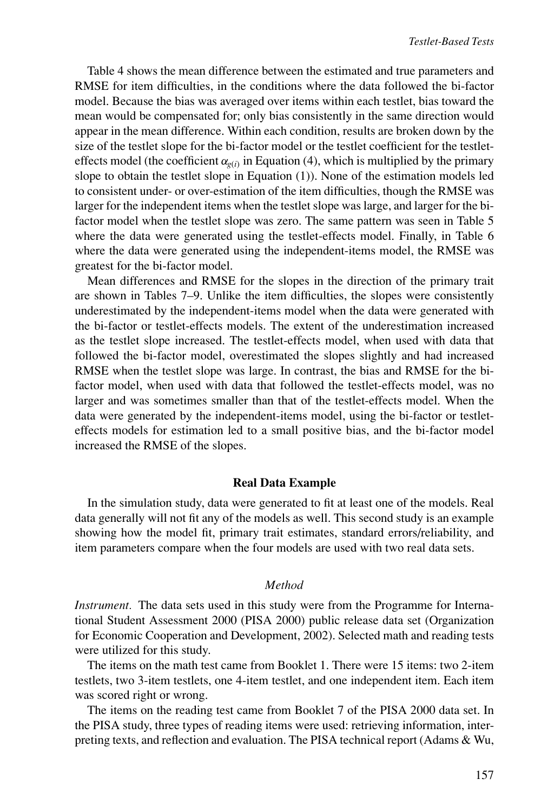Table 4 shows the mean difference between the estimated and true parameters and RMSE for item difficulties, in the conditions where the data followed the bi-factor model. Because the bias was averaged over items within each testlet, bias toward the mean would be compensated for; only bias consistently in the same direction would appear in the mean difference. Within each condition, results are broken down by the size of the testlet slope for the bi-factor model or the testlet coefficient for the testleteffects model (the coefficient  $\alpha_{\varphi(i)}$  in Equation (4), which is multiplied by the primary slope to obtain the testlet slope in Equation (1)). None of the estimation models led to consistent under- or over-estimation of the item difficulties, though the RMSE was larger for the independent items when the testlet slope was large, and larger for the bifactor model when the testlet slope was zero. The same pattern was seen in Table 5 where the data were generated using the testlet-effects model. Finally, in Table 6 where the data were generated using the independent-items model, the RMSE was greatest for the bi-factor model.

Mean differences and RMSE for the slopes in the direction of the primary trait are shown in Tables 7–9. Unlike the item difficulties, the slopes were consistently underestimated by the independent-items model when the data were generated with the bi-factor or testlet-effects models. The extent of the underestimation increased as the testlet slope increased. The testlet-effects model, when used with data that followed the bi-factor model, overestimated the slopes slightly and had increased RMSE when the testlet slope was large. In contrast, the bias and RMSE for the bifactor model, when used with data that followed the testlet-effects model, was no larger and was sometimes smaller than that of the testlet-effects model. When the data were generated by the independent-items model, using the bi-factor or testleteffects models for estimation led to a small positive bias, and the bi-factor model increased the RMSE of the slopes.

#### **Real Data Example**

In the simulation study, data were generated to fit at least one of the models. Real data generally will not fit any of the models as well. This second study is an example showing how the model fit, primary trait estimates, standard errors/reliability, and item parameters compare when the four models are used with two real data sets.

## *Method*

*Instrument.* The data sets used in this study were from the Programme for International Student Assessment 2000 (PISA 2000) public release data set (Organization for Economic Cooperation and Development, 2002). Selected math and reading tests were utilized for this study.

The items on the math test came from Booklet 1. There were 15 items: two 2-item testlets, two 3-item testlets, one 4-item testlet, and one independent item. Each item was scored right or wrong.

The items on the reading test came from Booklet 7 of the PISA 2000 data set. In the PISA study, three types of reading items were used: retrieving information, interpreting texts, and reflection and evaluation. The PISA technical report (Adams & Wu,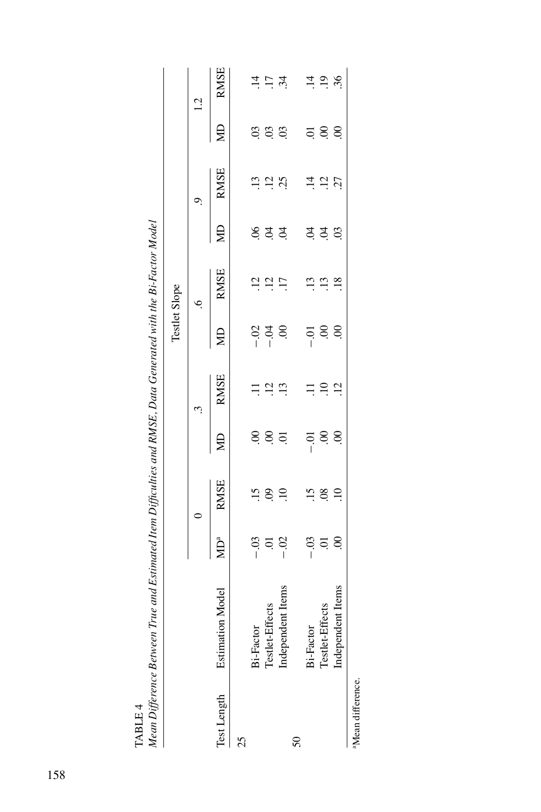| $\mathcal{M} = \mathcal{M} = \mathcal{M}$ |                              |                        | $\label{eq:main} \begin{minipage}{0.99\textwidth} \begin{minipage}{0.99\textwidth} \begin{itemize} \textbf{1} & \textbf{1} & \textbf{1} & \textbf{1} & \textbf{1} & \textbf{1} & \textbf{1} & \textbf{1} & \textbf{1} & \textbf{1} & \textbf{1} & \textbf{1} & \textbf{1} & \textbf{1} & \textbf{1} & \textbf{1} & \textbf{1} & \textbf{1} & \textbf{1} & \textbf{1} & \textbf{1} & \textbf{1} & \textbf{1} & \textbf{1} & \textbf{1} & \text$ |                   |                     |                                           |                                        |         |                                           |                                                                   |                                        |
|-------------------------------------------|------------------------------|------------------------|------------------------------------------------------------------------------------------------------------------------------------------------------------------------------------------------------------------------------------------------------------------------------------------------------------------------------------------------------------------------------------------------------------------------------------------------|-------------------|---------------------|-------------------------------------------|----------------------------------------|---------|-------------------------------------------|-------------------------------------------------------------------|----------------------------------------|
|                                           |                              |                        |                                                                                                                                                                                                                                                                                                                                                                                                                                                |                   |                     | Testlet Slope                             |                                        |         |                                           |                                                                   |                                        |
|                                           |                              |                        | $\circ$                                                                                                                                                                                                                                                                                                                                                                                                                                        |                   | $\ddot{3}$          |                                           | $\ddot{\circ}$                         |         | $\ddot{\theta}$                           |                                                                   | 1.2                                    |
|                                           | Test Length Estimation Model | <b>VID<sup>a</sup></b> | <b>RMSE</b>                                                                                                                                                                                                                                                                                                                                                                                                                                    | ЯD                | <b>RMSE</b>         | g                                         | <b>RMSE</b>                            | g       | $\frac{RMSE}{R}$                          | SIN                                                               | <b>RMSE</b>                            |
| 25                                        |                              |                        |                                                                                                                                                                                                                                                                                                                                                                                                                                                |                   |                     |                                           |                                        |         |                                           |                                                                   |                                        |
|                                           | Bi-Factor                    |                        |                                                                                                                                                                                                                                                                                                                                                                                                                                                |                   |                     |                                           |                                        |         |                                           |                                                                   |                                        |
|                                           | Testlet-Effects              |                        | $\ddot{z}$ is $\ddot{z}$                                                                                                                                                                                                                                                                                                                                                                                                                       | 885               | $\Xi \; \Xi \; \Xi$ | $\frac{8}{1}$ $\frac{3}{1}$ $\frac{8}{1}$ | $\frac{13}{11}$ $\frac{17}{11}$        | इ इं इं |                                           | s s s                                                             | $\vec{a}$ $\vec{c}$ $\vec{a}$          |
|                                           | Independent Items            | $-0.3$<br>$-0.2$       |                                                                                                                                                                                                                                                                                                                                                                                                                                                |                   |                     |                                           |                                        |         | $\ddot{a}$ $\ddot{a}$ $\ddot{b}$          |                                                                   |                                        |
| $50\,$                                    |                              |                        |                                                                                                                                                                                                                                                                                                                                                                                                                                                |                   |                     |                                           |                                        |         |                                           |                                                                   |                                        |
|                                           | Bi-Factor                    |                        |                                                                                                                                                                                                                                                                                                                                                                                                                                                |                   |                     |                                           |                                        |         |                                           |                                                                   |                                        |
|                                           | Testlet-Effects              | $-33$<br>$-35$         | 158.1                                                                                                                                                                                                                                                                                                                                                                                                                                          | $\frac{1}{2}$ 8.8 | $\Xi \Xi \Xi$       | $\frac{5}{1}$ 88.                         | $\begin{array}{c} 13 \\ 1 \end{array}$ | ಕ್ತ ಕ್ಷ | $\frac{1}{4}$ $\frac{1}{2}$ $\frac{1}{2}$ | $\overline{a}$ , $\overline{a}$ , $\overline{a}$ , $\overline{a}$ | $\Xi \stackrel{\sim}{\Xi} \mathcal{S}$ |
|                                           | Independent Items            |                        |                                                                                                                                                                                                                                                                                                                                                                                                                                                |                   |                     |                                           |                                        |         |                                           |                                                                   |                                        |
| <sup>a</sup> Mean difference.             |                              |                        |                                                                                                                                                                                                                                                                                                                                                                                                                                                |                   |                     |                                           |                                        |         |                                           |                                                                   |                                        |

TABLE 4<br>Mean Difference Between True and Estimated Item Difficulties and RMSE, Data Generated with the Bi-Factor Model<br>-Mean Difference Between True and Estimated Item Difficulties and RMSE, Data Generated with the Bi-Factor Model TABLE 4

aMean difference.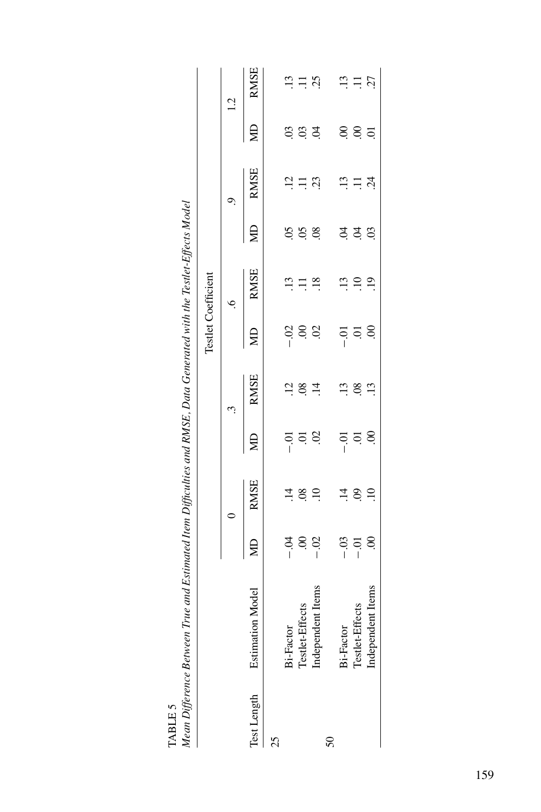| $\mathcal{L} = \mathcal{L} = \mathcal{L} = \mathcal{L} = \mathcal{L} = \mathcal{L} = \mathcal{L} = \mathcal{L} = \mathcal{L} = \mathcal{L} = \mathcal{L} = \mathcal{L} = \mathcal{L} = \mathcal{L} = \mathcal{L} = \mathcal{L} = \mathcal{L} = \mathcal{L} = \mathcal{L} = \mathcal{L} = \mathcal{L} = \mathcal{L} = \mathcal{L} = \mathcal{L} = \mathcal{L} = \mathcal{L} = \mathcal{L} = \mathcal{L} = \mathcal{L} = \mathcal{L} = \mathcal{L} = \mathcal$ |                              |                               |                        |                                           |                                           |                               |                                                             |                  |                          |                |                                         |
|--------------------------------------------------------------------------------------------------------------------------------------------------------------------------------------------------------------------------------------------------------------------------------------------------------------------------------------------------------------------------------------------------------------------------------------------------------------|------------------------------|-------------------------------|------------------------|-------------------------------------------|-------------------------------------------|-------------------------------|-------------------------------------------------------------|------------------|--------------------------|----------------|-----------------------------------------|
|                                                                                                                                                                                                                                                                                                                                                                                                                                                              |                              |                               |                        |                                           |                                           | <b>Testlet Coefficient</b>    |                                                             |                  |                          |                |                                         |
|                                                                                                                                                                                                                                                                                                                                                                                                                                                              |                              |                               |                        |                                           | Ċ,                                        |                               | $\circ$                                                     |                  | c,                       |                | $\frac{1}{2}$                           |
|                                                                                                                                                                                                                                                                                                                                                                                                                                                              | Test Length Estimation Model | gи                            | <b>RMSE</b>            | ЯD                                        | <b>RMSE</b>                               | g                             | <b>RMSE</b>                                                 | Ş                | <b>RMSE</b>              | Ê              | <b>RMSE</b>                             |
| 25                                                                                                                                                                                                                                                                                                                                                                                                                                                           |                              |                               |                        |                                           |                                           |                               |                                                             |                  |                          |                |                                         |
|                                                                                                                                                                                                                                                                                                                                                                                                                                                              | Bi-Factor                    |                               |                        |                                           |                                           |                               | $\ddot{5}$                                                  |                  |                          |                |                                         |
|                                                                                                                                                                                                                                                                                                                                                                                                                                                              | Testlet-Effects              | 3<br>3<br>3<br>5<br>3         | $\frac{14}{1}$         | $\frac{5}{1}$ 5 8                         | $\frac{1}{2}$ $\frac{8}{4}$ $\frac{4}{4}$ | $\frac{3}{1}$ 8 $\frac{3}{1}$ | Ξ                                                           | S S S            | $\Xi$ $\Xi$              | $\frac{3}{2}$  | $\ddot{u} \ddot{u} \ddot{u}$            |
|                                                                                                                                                                                                                                                                                                                                                                                                                                                              | Independent Items            |                               | $\ddot{0}$             |                                           |                                           |                               | $\overline{.18}$                                            |                  | 23                       | $\tilde{z}$    |                                         |
| $50\,$                                                                                                                                                                                                                                                                                                                                                                                                                                                       |                              |                               |                        |                                           |                                           |                               |                                                             |                  |                          |                |                                         |
|                                                                                                                                                                                                                                                                                                                                                                                                                                                              | <b>Bi-Factor</b>             |                               |                        |                                           |                                           |                               |                                                             |                  |                          |                |                                         |
|                                                                                                                                                                                                                                                                                                                                                                                                                                                              | Testlet-Effects              | $-33$<br>$-1$<br>$-1$<br>$-1$ | $\vec{a}$ is $\vec{c}$ | $\frac{5}{1}$ $\frac{5}{1}$ $\frac{8}{1}$ | $\ddot{a}$ as $\ddot{a}$                  | $\frac{5}{1}$ 5.8             | $\begin{array}{c}\n\ldots \\ \vdots \\ \vdots\n\end{array}$ | ਤ ਤੋਂ <u>ਨ</u> ੰ | $\vec{v} \equiv \vec{v}$ | 88             |                                         |
|                                                                                                                                                                                                                                                                                                                                                                                                                                                              | Independent Items            |                               |                        |                                           |                                           |                               |                                                             |                  |                          | $\overline{5}$ | $\begin{array}{c} 25 \\ 21 \end{array}$ |
|                                                                                                                                                                                                                                                                                                                                                                                                                                                              |                              |                               |                        |                                           |                                           |                               |                                                             |                  |                          |                |                                         |

Mean Difference Between True and Estimated Item Difficulties and RMSE, Data Generated with the Testlet-Effects Model Mean Difference Between True and Estimated Item Difficulties and RMSE, Data Generated with the Testlet-Effects Model TABLE 5 TABLE 5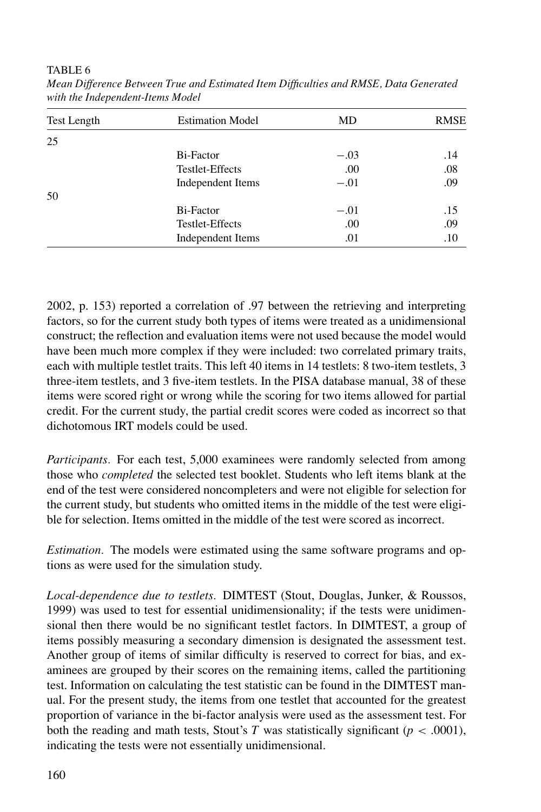TABLE 6

| <b>Test Length</b> | <b>Estimation Model</b> | MD     | <b>RMSE</b> |
|--------------------|-------------------------|--------|-------------|
| 25                 |                         |        |             |
|                    | Bi-Factor               | $-.03$ | .14         |
|                    | Testlet-Effects         | .00    | .08         |
|                    | Independent Items       | $-.01$ | .09         |
| 50                 |                         |        |             |
|                    | Bi-Factor               | $-.01$ | .15         |
|                    | Testlet-Effects         | .00    | .09         |
|                    | Independent Items       | .01    | .10         |

*Mean Difference Between True and Estimated Item Difficulties and RMSE, Data Generated with the Independent-Items Model*

2002, p. 153) reported a correlation of .97 between the retrieving and interpreting factors, so for the current study both types of items were treated as a unidimensional construct; the reflection and evaluation items were not used because the model would have been much more complex if they were included: two correlated primary traits, each with multiple testlet traits. This left 40 items in 14 testlets: 8 two-item testlets, 3 three-item testlets, and 3 five-item testlets. In the PISA database manual, 38 of these items were scored right or wrong while the scoring for two items allowed for partial credit. For the current study, the partial credit scores were coded as incorrect so that dichotomous IRT models could be used.

*Participants.* For each test, 5,000 examinees were randomly selected from among those who *completed* the selected test booklet. Students who left items blank at the end of the test were considered noncompleters and were not eligible for selection for the current study, but students who omitted items in the middle of the test were eligible for selection. Items omitted in the middle of the test were scored as incorrect.

*Estimation.* The models were estimated using the same software programs and options as were used for the simulation study.

*Local-dependence due to testlets.* DIMTEST (Stout, Douglas, Junker, & Roussos, 1999) was used to test for essential unidimensionality; if the tests were unidimensional then there would be no significant testlet factors. In DIMTEST, a group of items possibly measuring a secondary dimension is designated the assessment test. Another group of items of similar difficulty is reserved to correct for bias, and examinees are grouped by their scores on the remaining items, called the partitioning test. Information on calculating the test statistic can be found in the DIMTEST manual. For the present study, the items from one testlet that accounted for the greatest proportion of variance in the bi-factor analysis were used as the assessment test. For both the reading and math tests, Stout's *T* was statistically significant ( $p < .0001$ ), indicating the tests were not essentially unidimensional.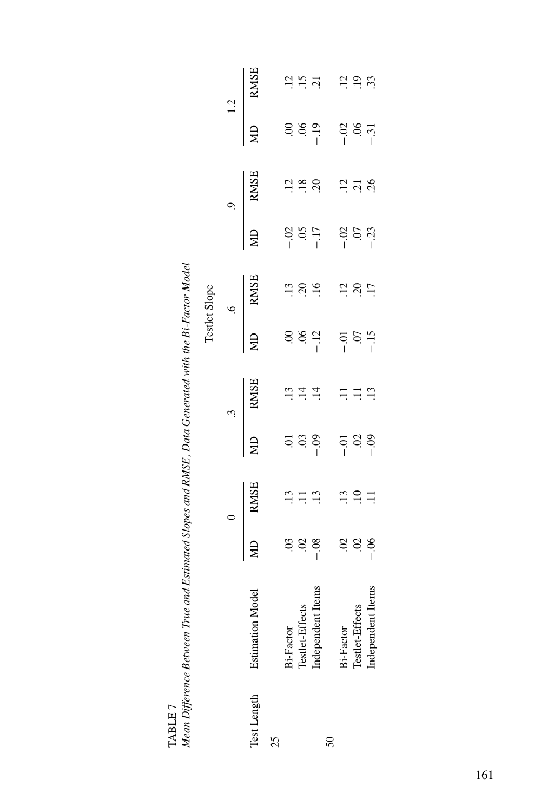|                        | ואוכמות הקון כרבות בסבואבבות דו ווכ מוות באותותובמ אחסה את האוצר. המונח הבווכו אות היות הידי מרוח וומסת והסמכו |                |                                       |                                           |                          |                |                                           |                 |                                          |                 |                                                   |
|------------------------|----------------------------------------------------------------------------------------------------------------|----------------|---------------------------------------|-------------------------------------------|--------------------------|----------------|-------------------------------------------|-----------------|------------------------------------------|-----------------|---------------------------------------------------|
|                        |                                                                                                                |                |                                       |                                           |                          |                | Testlet Slope                             |                 |                                          |                 |                                                   |
|                        |                                                                                                                |                |                                       |                                           | $\ddot{\phantom{0}}$     |                | $\ddot{\circ}$                            |                 |                                          | 1.2             |                                                   |
| Test Length Estimation | Model                                                                                                          | $\overline{B}$ | RMSE                                  | ξ                                         | RMSE                     |                | MD RMSE                                   |                 | MD RMSE                                  |                 | MD RMSE                                           |
| 25                     |                                                                                                                |                |                                       |                                           |                          |                |                                           |                 |                                          |                 |                                                   |
|                        | Bi-Factor                                                                                                      |                |                                       |                                           |                          |                |                                           |                 |                                          |                 |                                                   |
|                        |                                                                                                                |                | $\ddot{=} \ddot{=} \ddot{=} \ddot{=}$ | $\frac{1}{2}$ $\frac{1}{2}$ $\frac{1}{2}$ | $\vec{w} \times \vec{w}$ |                | $\frac{3}{2}$ $\frac{3}{2}$ $\frac{6}{5}$ | $-0.5$<br>$-17$ |                                          |                 | $\frac{1}{2} \cdot \frac{1}{2} \cdot \frac{1}{2}$ |
|                        | Testlet-Effects<br>Independent Items                                                                           | 6.560          |                                       |                                           |                          | $884$<br>$-12$ |                                           |                 | $\frac{12}{1} \frac{8}{10} \frac{1}{10}$ | 6.89            |                                                   |
| 50                     |                                                                                                                |                |                                       |                                           |                          |                |                                           |                 |                                          |                 |                                                   |
|                        | Bi-Factor                                                                                                      |                |                                       |                                           |                          |                |                                           |                 |                                          |                 |                                                   |
|                        | Testlet-Effects                                                                                                | 8880           | $\Xi \equiv \Xi$                      | $\frac{5}{1}$ $\frac{8}{1}$               | $\Xi \equiv \Xi$         | $-15$<br>$-15$ | $\frac{3}{2}$ $\frac{3}{2}$ $\frac{1}{2}$ | $-32$<br>$-33$  | $\frac{2}{3}$ $\frac{2}{3}$              | $-0.8$<br>$-31$ | $\frac{1}{2}$ $\frac{9}{2}$ $\frac{3}{2}$         |
|                        | Independent Items                                                                                              |                |                                       |                                           |                          |                |                                           |                 |                                          |                 |                                                   |

TABLE 7<br>Mean Difference Between True and Estimated Slopes and RMSE, Data Generated with the Bi-Factor Model Mean Difference Between True and Estimated Slopes and RMSE, Data Generated with the Bi-Factor Model TABLE 7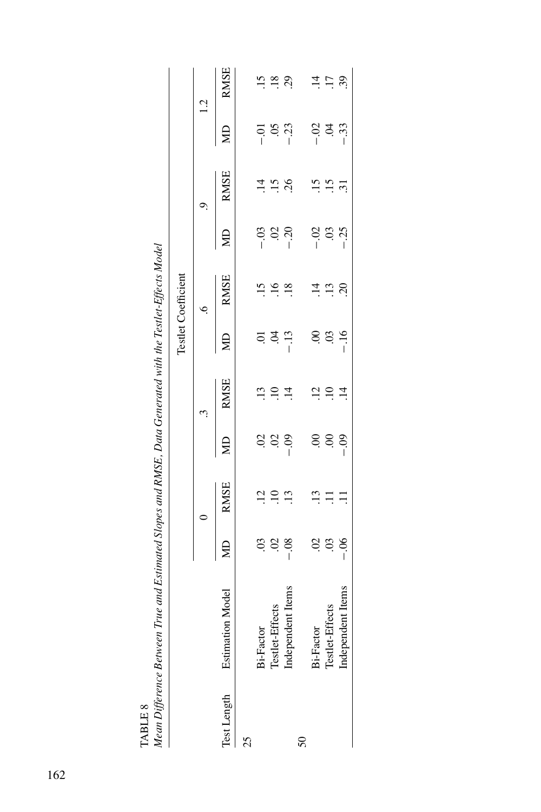|                 |                                                   |                                           |                                                   |                                           |                                           |                 | <b>Testlet Coefficient</b>     |                          |                                           |                      |                                        |
|-----------------|---------------------------------------------------|-------------------------------------------|---------------------------------------------------|-------------------------------------------|-------------------------------------------|-----------------|--------------------------------|--------------------------|-------------------------------------------|----------------------|----------------------------------------|
|                 |                                                   |                                           | $\overline{a}$                                    |                                           | $\ddot{\phantom{0}}$                      |                 | .<br>م                         |                          | c)                                        | 1.2                  |                                        |
|                 | Test Length Estimation Model                      | $\overline{\mathbb{E}}$                   | <b>RMSE</b>                                       | $\bigoplus$                               | <b>RMSE</b>                               |                 | <b>RMSE</b>                    | Ş                        | <b>RMSE</b>                               | $\overline{B}$       | <b>RMSE</b>                            |
| 25              |                                                   |                                           |                                                   |                                           |                                           |                 |                                |                          |                                           |                      |                                        |
|                 |                                                   |                                           |                                                   |                                           |                                           |                 |                                |                          |                                           |                      |                                        |
|                 | Bi-Factor<br>Testlet-Effects<br>Independent Items |                                           | $\begin{array}{c}\n\vdots \\ \hline\n\end{array}$ | $\frac{3}{2}$ $\frac{3}{2}$ $\frac{3}{2}$ | $\frac{3}{2}$ $\frac{1}{2}$ $\frac{4}{4}$ | 537             | $\frac{15}{1}$ $\frac{16}{18}$ | $-0.3$<br>$-0.2$<br>$-1$ |                                           |                      |                                        |
|                 |                                                   |                                           |                                                   |                                           |                                           |                 |                                |                          | $\frac{4}{1}$ $\frac{5}{1}$ $\frac{8}{1}$ | $-0.01$<br>$-0.23$   | $\therefore$ $\therefore$ $\therefore$ |
| $\overline{50}$ |                                                   |                                           |                                                   |                                           |                                           |                 |                                |                          |                                           |                      |                                        |
|                 | Bi-Factor                                         |                                           |                                                   |                                           |                                           |                 |                                |                          |                                           |                      |                                        |
|                 | Testlet-Effects                                   | $\frac{3}{2}$ $\frac{3}{2}$ $\frac{3}{2}$ | $\Xi \equiv \Xi$                                  | 88.8                                      | $\frac{1}{2}$ $\frac{1}{2}$ $\frac{1}{4}$ | $8.89$<br>$-16$ | $\vec{a}$ $\vec{a}$ $\vec{c}$  | $-0.35$                  | $\ddot{a}$ $\ddot{a}$ $\ddot{a}$          | ី<br>ខ្នែដំ<br>ខ្ញុំ | $\vec{a}$ is $\vec{c}$                 |
|                 | Independent Items                                 |                                           |                                                   |                                           |                                           |                 |                                |                          |                                           |                      |                                        |
|                 |                                                   |                                           |                                                   |                                           |                                           |                 |                                |                          |                                           |                      |                                        |

IADLE 0<br>Mean Difference Between True and Estimated Slopes and RMSE, Data Generated with the Testlet-Effects Model<br>. Mean Difference Between True and Estimated Slopes and RMSE, Data Generated with the Testlet-Effects Model TABLE 8 TABLE 8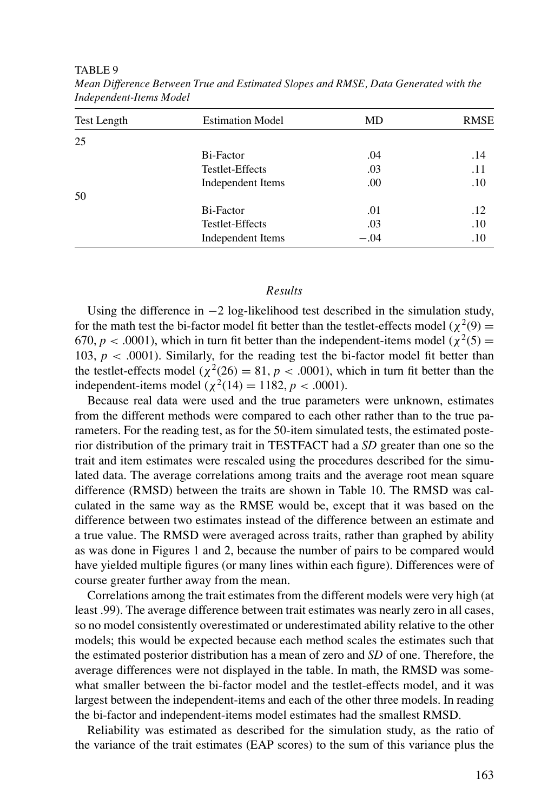TABLE 9

| <b>Test Length</b> | <b>Estimation Model</b> | MD     | <b>RMSE</b> |
|--------------------|-------------------------|--------|-------------|
| 25                 |                         |        |             |
|                    | Bi-Factor               | .04    | .14         |
|                    | Testlet-Effects         | .03    | .11         |
|                    | Independent Items       | .00    | .10         |
| 50                 |                         |        |             |
|                    | Bi-Factor               | .01    | .12         |
|                    | Testlet-Effects         | .03    | .10         |
|                    | Independent Items       | $-.04$ | .10         |

*Mean Difference Between True and Estimated Slopes and RMSE, Data Generated with the Independent-Items Model*

#### *Results*

Using the difference in −2 log-likelihood test described in the simulation study, for the math test the bi-factor model fit better than the testlet-effects model ( $\chi^2(9)$  = 670,  $p < .0001$ ), which in turn fit better than the independent-items model ( $\chi^2(5)$  = 103,  $p < .0001$ ). Similarly, for the reading test the bi-factor model fit better than the testlet-effects model ( $\chi^2(26) = 81$ ,  $p < .0001$ ), which in turn fit better than the independent-items model ( $\chi^2(14) = 1182$ ,  $p < .0001$ ).

Because real data were used and the true parameters were unknown, estimates from the different methods were compared to each other rather than to the true parameters. For the reading test, as for the 50-item simulated tests, the estimated posterior distribution of the primary trait in TESTFACT had a *SD* greater than one so the trait and item estimates were rescaled using the procedures described for the simulated data. The average correlations among traits and the average root mean square difference (RMSD) between the traits are shown in Table 10. The RMSD was calculated in the same way as the RMSE would be, except that it was based on the difference between two estimates instead of the difference between an estimate and a true value. The RMSD were averaged across traits, rather than graphed by ability as was done in Figures 1 and 2, because the number of pairs to be compared would have yielded multiple figures (or many lines within each figure). Differences were of course greater further away from the mean.

Correlations among the trait estimates from the different models were very high (at least .99). The average difference between trait estimates was nearly zero in all cases, so no model consistently overestimated or underestimated ability relative to the other models; this would be expected because each method scales the estimates such that the estimated posterior distribution has a mean of zero and *SD* of one. Therefore, the average differences were not displayed in the table. In math, the RMSD was somewhat smaller between the bi-factor model and the testlet-effects model, and it was largest between the independent-items and each of the other three models. In reading the bi-factor and independent-items model estimates had the smallest RMSD.

Reliability was estimated as described for the simulation study, as the ratio of the variance of the trait estimates (EAP scores) to the sum of this variance plus the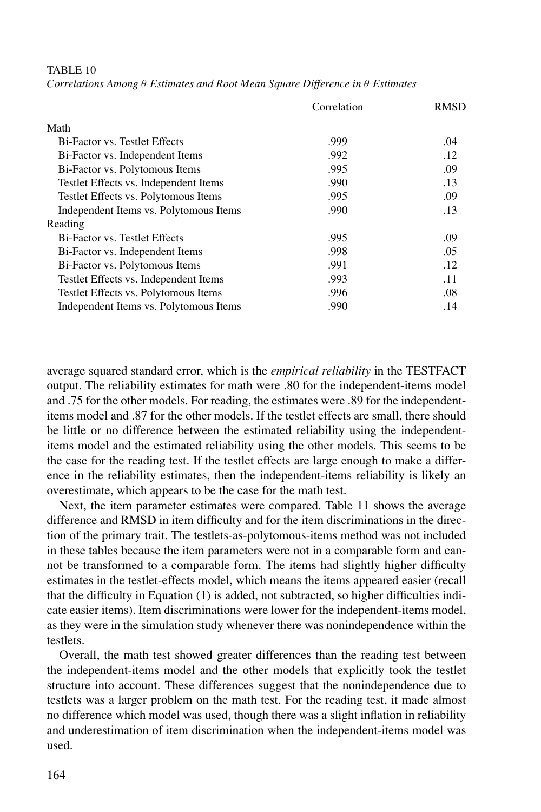|                                        | Correlation | <b>RMSD</b> |
|----------------------------------------|-------------|-------------|
| Math                                   |             |             |
| <b>Bi-Factor vs. Testlet Effects</b>   | .999        | .04         |
| Bi-Factor vs. Independent Items        | .992        | .12         |
| Bi-Factor vs. Polytomous Items         | .995        | .09         |
| Testlet Effects vs. Independent Items  | .990        | .13         |
| Testlet Effects vs. Polytomous Items   | .995        | .09         |
| Independent Items vs. Polytomous Items | .990        | .13         |
| Reading                                |             |             |
| Bi-Factor vs. Testlet Effects          | .995        | .09         |
| Bi-Factor vs. Independent Items        | .998        | .05         |
| Bi-Factor vs. Polytomous Items         | .991        | .12         |
| Testlet Effects vs. Independent Items  | .993        | .11         |
| Testlet Effects vs. Polytomous Items   | .996        | .08         |
| Independent Items vs. Polytomous Items | .990        | .14         |

TABLE 10 *Correlations Among* θ *Estimates and Root Mean Square Difference in* θ *Estimates*

average squared standard error, which is the *empirical reliability* in the TESTFACT output. The reliability estimates for math were .80 for the independent-items model and .75 for the other models. For reading, the estimates were .89 for the independentitems model and .87 for the other models. If the testlet effects are small, there should be little or no difference between the estimated reliability using the independentitems model and the estimated reliability using the other models. This seems to be the case for the reading test. If the testlet effects are large enough to make a difference in the reliability estimates, then the independent-items reliability is likely an overestimate, which appears to be the case for the math test.

Next, the item parameter estimates were compared. Table 11 shows the average difference and RMSD in item difficulty and for the item discriminations in the direction of the primary trait. The testlets-as-polytomous-items method was not included in these tables because the item parameters were not in a comparable form and cannot be transformed to a comparable form. The items had slightly higher difficulty estimates in the testlet-effects model, which means the items appeared easier (recall that the difficulty in Equation (1) is added, not subtracted, so higher difficulties indicate easier items). Item discriminations were lower for the independent-items model, as they were in the simulation study whenever there was nonindependence within the testlets.

Overall, the math test showed greater differences than the reading test between the independent-items model and the other models that explicitly took the testlet structure into account. These differences suggest that the nonindependence due to testlets was a larger problem on the math test. For the reading test, it made almost no difference which model was used, though there was a slight inflation in reliability and underestimation of item discrimination when the independent-items model was used.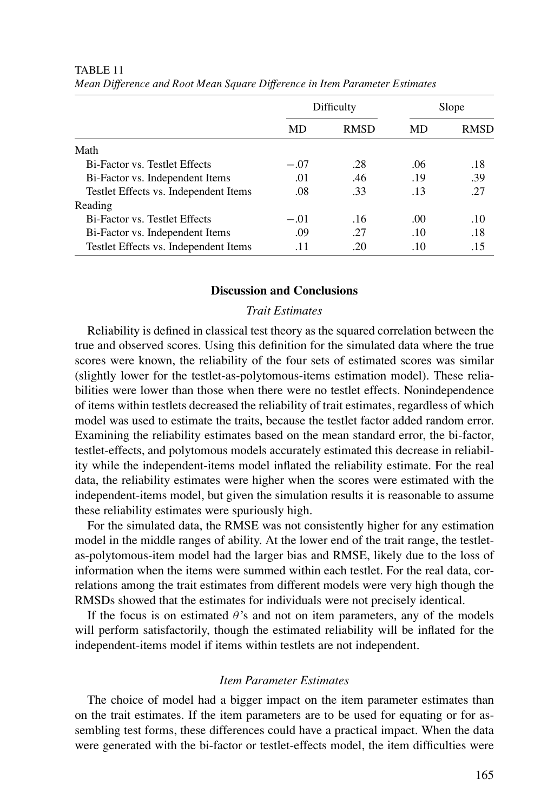|                                       |        | Difficulty  |                  | Slope       |
|---------------------------------------|--------|-------------|------------------|-------------|
|                                       | MD     | <b>RMSD</b> | MD               | <b>RMSD</b> |
| Math                                  |        |             |                  |             |
| <b>Bi-Factor vs. Testlet Effects</b>  | $-.07$ | .28         | .06              | .18         |
| Bi-Factor vs. Independent Items       | .01    | .46         | .19              | .39         |
| Testlet Effects vs. Independent Items | .08    | .33         | .13              | .27         |
| Reading                               |        |             |                  |             |
| <b>Bi-Factor vs. Testlet Effects</b>  | $-.01$ | .16         | .00 <sub>1</sub> | .10         |
| Bi-Factor vs. Independent Items       | .09    | .27         | .10              | .18         |
| Testlet Effects vs. Independent Items | .11    | .20         | .10              | .15         |

TABLE 11 *Mean Difference and Root Mean Square Difference in Item Parameter Estimates*

# **Discussion and Conclusions**

# *Trait Estimates*

Reliability is defined in classical test theory as the squared correlation between the true and observed scores. Using this definition for the simulated data where the true scores were known, the reliability of the four sets of estimated scores was similar (slightly lower for the testlet-as-polytomous-items estimation model). These reliabilities were lower than those when there were no testlet effects. Nonindependence of items within testlets decreased the reliability of trait estimates, regardless of which model was used to estimate the traits, because the testlet factor added random error. Examining the reliability estimates based on the mean standard error, the bi-factor, testlet-effects, and polytomous models accurately estimated this decrease in reliability while the independent-items model inflated the reliability estimate. For the real data, the reliability estimates were higher when the scores were estimated with the independent-items model, but given the simulation results it is reasonable to assume these reliability estimates were spuriously high.

For the simulated data, the RMSE was not consistently higher for any estimation model in the middle ranges of ability. At the lower end of the trait range, the testletas-polytomous-item model had the larger bias and RMSE, likely due to the loss of information when the items were summed within each testlet. For the real data, correlations among the trait estimates from different models were very high though the RMSDs showed that the estimates for individuals were not precisely identical.

If the focus is on estimated  $\theta$ 's and not on item parameters, any of the models will perform satisfactorily, though the estimated reliability will be inflated for the independent-items model if items within testlets are not independent.

## *Item Parameter Estimates*

The choice of model had a bigger impact on the item parameter estimates than on the trait estimates. If the item parameters are to be used for equating or for assembling test forms, these differences could have a practical impact. When the data were generated with the bi-factor or testlet-effects model, the item difficulties were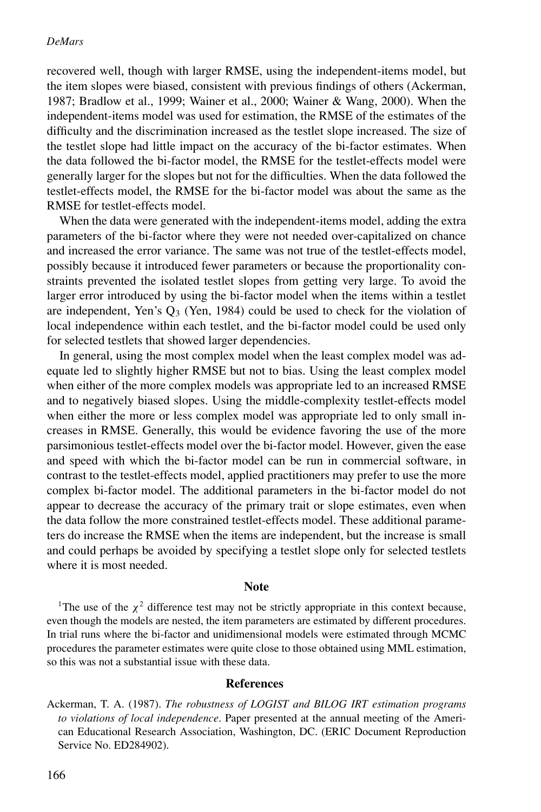recovered well, though with larger RMSE, using the independent-items model, but the item slopes were biased, consistent with previous findings of others (Ackerman, 1987; Bradlow et al., 1999; Wainer et al., 2000; Wainer & Wang, 2000). When the independent-items model was used for estimation, the RMSE of the estimates of the difficulty and the discrimination increased as the testlet slope increased. The size of the testlet slope had little impact on the accuracy of the bi-factor estimates. When the data followed the bi-factor model, the RMSE for the testlet-effects model were generally larger for the slopes but not for the difficulties. When the data followed the testlet-effects model, the RMSE for the bi-factor model was about the same as the RMSE for testlet-effects model.

When the data were generated with the independent-items model, adding the extra parameters of the bi-factor where they were not needed over-capitalized on chance and increased the error variance. The same was not true of the testlet-effects model, possibly because it introduced fewer parameters or because the proportionality constraints prevented the isolated testlet slopes from getting very large. To avoid the larger error introduced by using the bi-factor model when the items within a testlet are independent, Yen's  $Q_3$  (Yen, 1984) could be used to check for the violation of local independence within each testlet, and the bi-factor model could be used only for selected testlets that showed larger dependencies.

In general, using the most complex model when the least complex model was adequate led to slightly higher RMSE but not to bias. Using the least complex model when either of the more complex models was appropriate led to an increased RMSE and to negatively biased slopes. Using the middle-complexity testlet-effects model when either the more or less complex model was appropriate led to only small increases in RMSE. Generally, this would be evidence favoring the use of the more parsimonious testlet-effects model over the bi-factor model. However, given the ease and speed with which the bi-factor model can be run in commercial software, in contrast to the testlet-effects model, applied practitioners may prefer to use the more complex bi-factor model. The additional parameters in the bi-factor model do not appear to decrease the accuracy of the primary trait or slope estimates, even when the data follow the more constrained testlet-effects model. These additional parameters do increase the RMSE when the items are independent, but the increase is small and could perhaps be avoided by specifying a testlet slope only for selected testlets where it is most needed.

#### **Note**

<sup>1</sup>The use of the  $\chi^2$  difference test may not be strictly appropriate in this context because, even though the models are nested, the item parameters are estimated by different procedures. In trial runs where the bi-factor and unidimensional models were estimated through MCMC procedures the parameter estimates were quite close to those obtained using MML estimation, so this was not a substantial issue with these data.

#### **References**

Ackerman, T. A. (1987). *The robustness of LOGIST and BILOG IRT estimation programs to violations of local independence*. Paper presented at the annual meeting of the American Educational Research Association, Washington, DC. (ERIC Document Reproduction Service No. ED284902).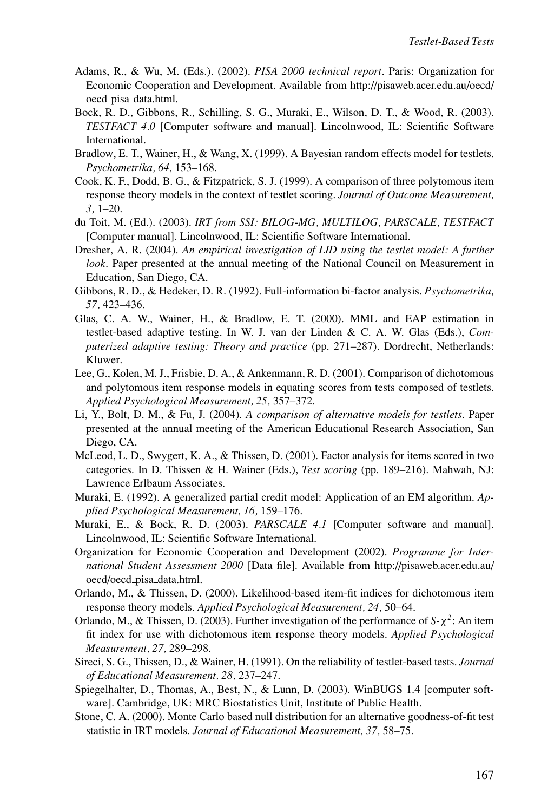- Adams, R., & Wu, M. (Eds.). (2002). *PISA 2000 technical report*. Paris: Organization for Economic Cooperation and Development. Available from http://pisaweb.acer.edu.au/oecd/ oecd pisa data.html.
- Bock, R. D., Gibbons, R., Schilling, S. G., Muraki, E., Wilson, D. T., & Wood, R. (2003). *TESTFACT 4.0* [Computer software and manual]. Lincolnwood, IL: Scientific Software International.
- Bradlow, E. T., Wainer, H., & Wang, X. (1999). A Bayesian random effects model for testlets. *Psychometrika, 64,* 153–168.
- Cook, K. F., Dodd, B. G., & Fitzpatrick, S. J. (1999). A comparison of three polytomous item response theory models in the context of testlet scoring. *Journal of Outcome Measurement, 3,* 1–20.
- du Toit, M. (Ed.). (2003). *IRT from SSI: BILOG-MG, MULTILOG, PARSCALE, TESTFACT* [Computer manual]. Lincolnwood, IL: Scientific Software International.
- Dresher, A. R. (2004). *An empirical investigation of LID using the testlet model: A further look*. Paper presented at the annual meeting of the National Council on Measurement in Education, San Diego, CA.
- Gibbons, R. D., & Hedeker, D. R. (1992). Full-information bi-factor analysis. *Psychometrika, 57,* 423–436.
- Glas, C. A. W., Wainer, H., & Bradlow, E. T. (2000). MML and EAP estimation in testlet-based adaptive testing. In W. J. van der Linden & C. A. W. Glas (Eds.), *Computerized adaptive testing: Theory and practice* (pp. 271–287). Dordrecht, Netherlands: Kluwer.
- Lee, G., Kolen, M. J., Frisbie, D. A., & Ankenmann, R. D. (2001). Comparison of dichotomous and polytomous item response models in equating scores from tests composed of testlets. *Applied Psychological Measurement, 25,* 357–372.
- Li, Y., Bolt, D. M., & Fu, J. (2004). *A comparison of alternative models for testlets*. Paper presented at the annual meeting of the American Educational Research Association, San Diego, CA.
- McLeod, L. D., Swygert, K. A., & Thissen, D. (2001). Factor analysis for items scored in two categories. In D. Thissen & H. Wainer (Eds.), *Test scoring* (pp. 189–216). Mahwah, NJ: Lawrence Erlbaum Associates.
- Muraki, E. (1992). A generalized partial credit model: Application of an EM algorithm. *Applied Psychological Measurement, 16,* 159–176.
- Muraki, E., & Bock, R. D. (2003). *PARSCALE 4.1* [Computer software and manual]. Lincolnwood, IL: Scientific Software International.
- Organization for Economic Cooperation and Development (2002). *Programme for International Student Assessment 2000* [Data file]. Available from http://pisaweb.acer.edu.au/ oecd/oecd pisa data.html.
- Orlando, M., & Thissen, D. (2000). Likelihood-based item-fit indices for dichotomous item response theory models. *Applied Psychological Measurement, 24,* 50–64.
- Orlando, M., & Thissen, D. (2003). Further investigation of the performance of *S-*χ*<sup>2</sup>*: An item fit index for use with dichotomous item response theory models. *Applied Psychological Measurement, 27,* 289–298.
- Sireci, S. G., Thissen, D., & Wainer, H. (1991). On the reliability of testlet-based tests. *Journal of Educational Measurement, 28,* 237–247.
- Spiegelhalter, D., Thomas, A., Best, N., & Lunn, D. (2003). WinBUGS 1.4 [computer software]. Cambridge, UK: MRC Biostatistics Unit, Institute of Public Health.
- Stone, C. A. (2000). Monte Carlo based null distribution for an alternative goodness-of-fit test statistic in IRT models. *Journal of Educational Measurement, 37,* 58–75.